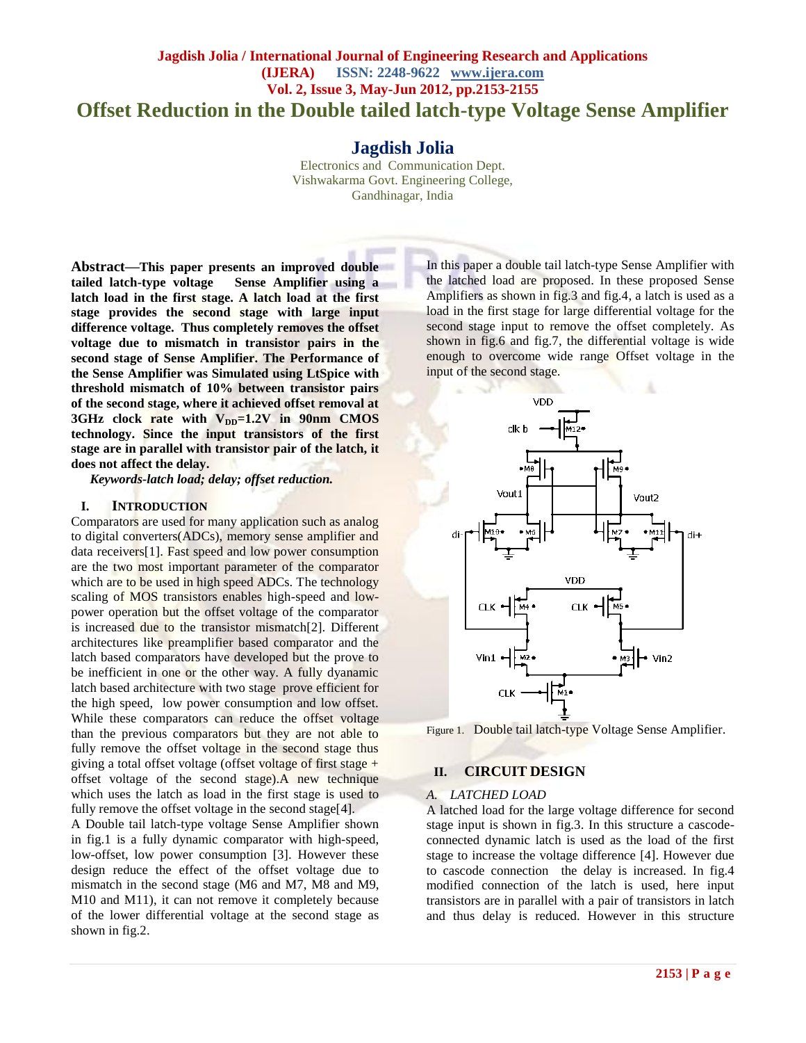# **Jagdish Jolia / International Journal of Engineering Research and Applications (IJERA) ISSN: 2248-9622 www.ijera.com Vol. 2, Issue 3, May-Jun 2012, pp.2153-2155 Offset Reduction in the Double tailed latch-type Voltage Sense Amplifier**

**Jagdish Jolia**

Electronics and Communication Dept. Vishwakarma Govt. Engineering College, Gandhinagar, India

**Abstract—This paper presents an improved double tailed latch-type voltage Sense Amplifier using a latch load in the first stage. A latch load at the first stage provides the second stage with large input difference voltage. Thus completely removes the offset voltage due to mismatch in transistor pairs in the second stage of Sense Amplifier. The Performance of the Sense Amplifier was Simulated using LtSpice with threshold mismatch of 10% between transistor pairs of the second stage, where it achieved offset removal at 3GHz clock rate with V<sub>DD</sub>=1.2V in 90nm CMOS technology. Since the input transistors of the first stage are in parallel with transistor pair of the latch, it does not affect the delay.**

*Keywords-latch load; delay; offset reduction.*

#### **I. INTRODUCTION**

Comparators are used for many application such as analog to digital converters(ADCs), memory sense amplifier and data receivers[1]. Fast speed and low power consumption are the two most important parameter of the comparator which are to be used in high speed ADCs. The technology scaling of MOS transistors enables high-speed and lowpower operation but the offset voltage of the comparator is increased due to the transistor mismatch[2]. Different architectures like preamplifier based comparator and the latch based comparators have developed but the prove to be inefficient in one or the other way. A fully dyanamic latch based architecture with two stage prove efficient for the high speed, low power consumption and low offset. While these comparators can reduce the offset voltage than the previous comparators but they are not able to fully remove the offset voltage in the second stage thus giving a total offset voltage (offset voltage of first stage  $+$ offset voltage of the second stage).A new technique which uses the latch as load in the first stage is used to fully remove the offset voltage in the second stage[4].

A Double tail latch-type voltage Sense Amplifier shown in fig.1 is a fully dynamic comparator with high-speed, low-offset, low power consumption [3]. However these design reduce the effect of the offset voltage due to mismatch in the second stage (M6 and M7, M8 and M9, M10 and M11), it can not remove it completely because of the lower differential voltage at the second stage as shown in fig.2.

In this paper a double tail latch-type Sense Amplifier with the latched load are proposed. In these proposed Sense Amplifiers as shown in fig.3 and fig.4, a latch is used as a load in the first stage for large differential voltage for the second stage input to remove the offset completely. As shown in fig.6 and fig.7, the differential voltage is wide enough to overcome wide range Offset voltage in the input of the second stage.



Figure 1. Double tail latch-type Voltage Sense Amplifier.

## **II. CIRCUIT DESIGN**

#### *A. LATCHED LOAD*

A latched load for the large voltage difference for second stage input is shown in fig.3. In this structure a cascodeconnected dynamic latch is used as the load of the first stage to increase the voltage difference [4]. However due to cascode connection the delay is increased. In fig.4 modified connection of the latch is used, here input transistors are in parallel with a pair of transistors in latch and thus delay is reduced. However in this structure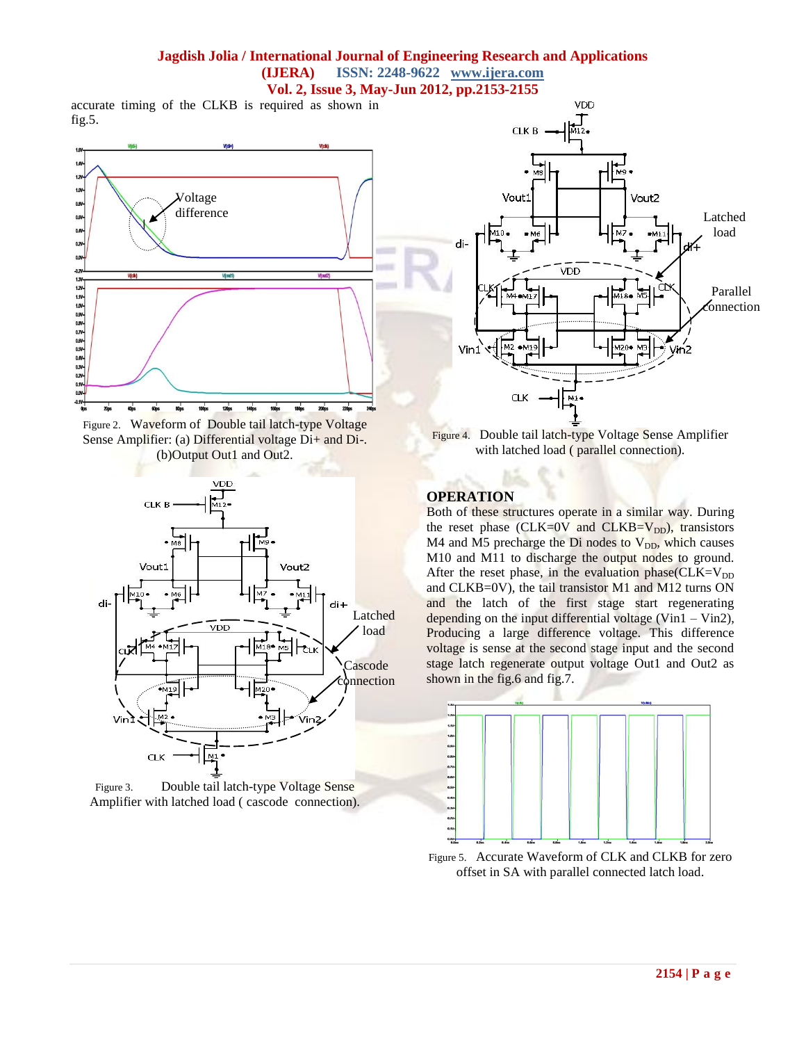## **Jagdish Jolia / International Journal of Engineering Research and Applications (IJERA) ISSN: 2248-9622 www.ijera.com Vol. 2, Issue 3, May-Jun 2012, pp.2153-2155**

accurate timing of the CLKB is required as shown in fig.5.











Figure 4. Double tail latch-type Voltage Sense Amplifier with latched load ( parallel connection).

## **OPERATION**

Both of these structures operate in a similar way. During the reset phase (CLK= $0V$  and CLKB= $V_{DD}$ ), transistors  $M4$  and M5 precharge the Di nodes to  $V_{DD}$ , which causes M10 and M11 to discharge the output nodes to ground. After the reset phase, in the evaluation phase( $CLK=V_{DD}$ and CLKB=0V), the tail transistor M1 and M12 turns ON and the latch of the first stage start regenerating depending on the input differential voltage (Vin1 – Vin2), Producing a large difference voltage. This difference voltage is sense at the second stage input and the second stage latch regenerate output voltage Out1 and Out2 as shown in the fig.6 and fig.7.



Figure 5. Accurate Waveform of CLK and CLKB for zero offset in SA with parallel connected latch load.